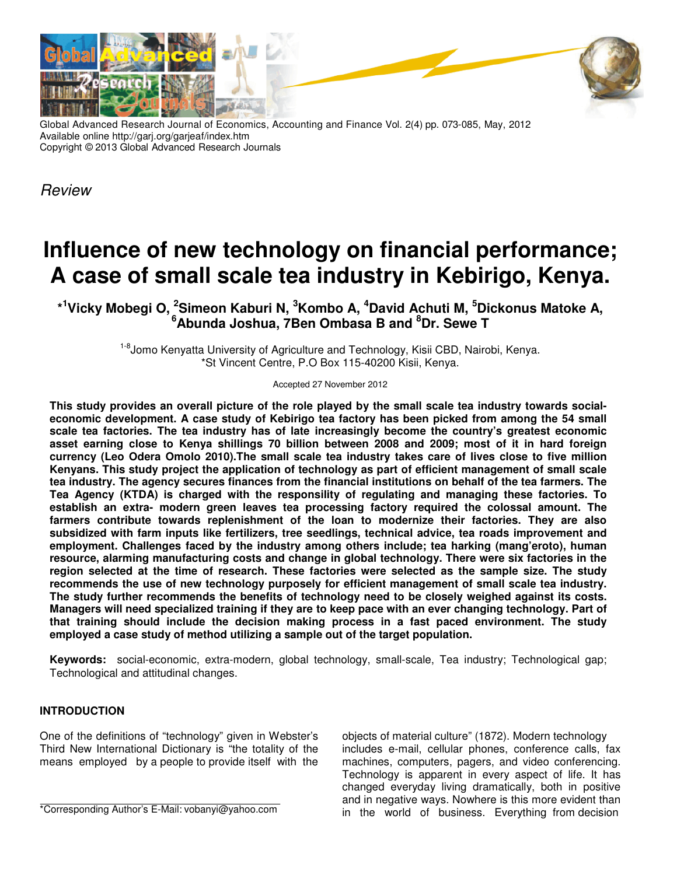

Global Advanced Research Journal of Economics, Accounting and Finance Vol. 2(4) pp. 073-085, May, 2012 Available online http://garj.org/garjeaf/index.htm Copyright © 2013 Global Advanced Research Journals

Review

# **Influence of new technology on financial performance; A case of small scale tea industry in Kebirigo, Kenya.**

**\* <sup>1</sup>Vicky Mobegi O, <sup>2</sup>Simeon Kaburi N, <sup>3</sup>Kombo A, <sup>4</sup>David Achuti M, <sup>5</sup>Dickonus Matoke A, <sup>6</sup>Abunda Joshua, 7Ben Ombasa B and <sup>8</sup>Dr. Sewe T** 

> <sup>1-8</sup>Jomo Kenyatta University of Agriculture and Technology, Kisii CBD, Nairobi, Kenya. \*St Vincent Centre, P.O Box 115-40200 Kisii, Kenya.

> > Accepted 27 November 2012

**This study provides an overall picture of the role played by the small scale tea industry towards socialeconomic development. A case study of Kebirigo tea factory has been picked from among the 54 small scale tea factories. The tea industry has of late increasingly become the country's greatest economic asset earning close to Kenya shillings 70 billion between 2008 and 2009; most of it in hard foreign currency (Leo Odera Omolo 2010).The small scale tea industry takes care of lives close to five million Kenyans. This study project the application of technology as part of efficient management of small scale tea industry. The agency secures finances from the financial institutions on behalf of the tea farmers. The Tea Agency (KTDA) is charged with the responsility of regulating and managing these factories. To establish an extra- modern green leaves tea processing factory required the colossal amount. The farmers contribute towards replenishment of the loan to modernize their factories. They are also subsidized with farm inputs like fertilizers, tree seedlings, technical advice, tea roads improvement and employment. Challenges faced by the industry among others include; tea harking (mang'eroto), human resource, alarming manufacturing costs and change in global technology. There were six factories in the region selected at the time of research. These factories were selected as the sample size. The study recommends the use of new technology purposely for efficient management of small scale tea industry. The study further recommends the benefits of technology need to be closely weighed against its costs. Managers will need specialized training if they are to keep pace with an ever changing technology. Part of that training should include the decision making process in a fast paced environment. The study employed a case study of method utilizing a sample out of the target population.** 

**Keywords:** social-economic, extra-modern, global technology, small-scale, Tea industry; Technological gap; Technological and attitudinal changes.

## **INTRODUCTION**

One of the definitions of "technology" given in Webster's Third New International Dictionary is "the totality of the means employed by a people to provide itself with the objects of material culture" (1872). Modern technology includes e-mail, cellular phones, conference calls, fax machines, computers, pagers, and video conferencing. Technology is apparent in every aspect of life. It has changed everyday living dramatically, both in positive and in negative ways. Nowhere is this more evident than in the world of business. Everything from decision

<sup>\*</sup>Corresponding Author's E-Mail: vobanyi@yahoo.com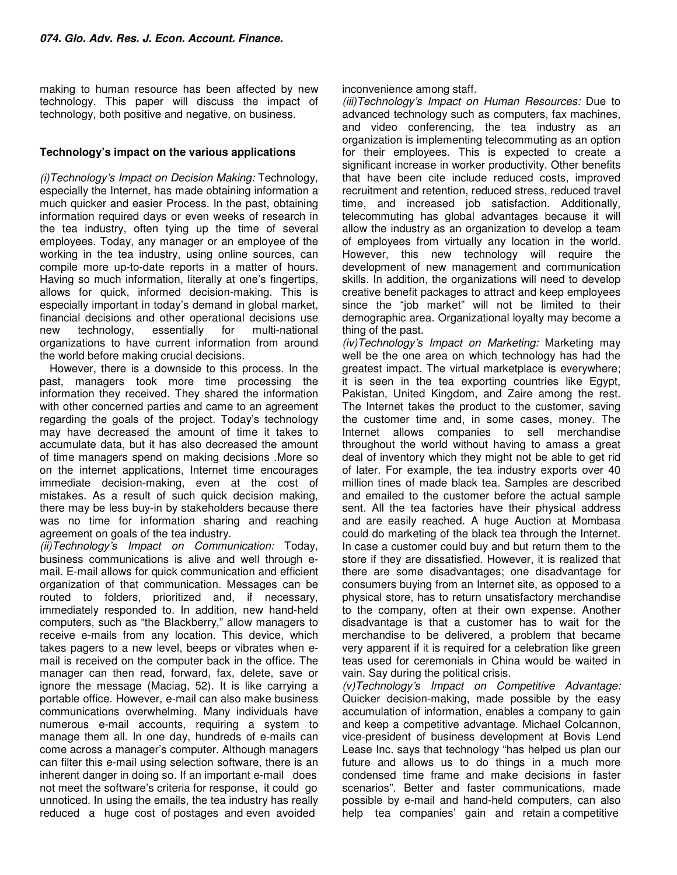making to human resource has been affected by new technology. This paper will discuss the impact of technology, both positive and negative, on business.

## **Technology's impact on the various applications**

(i)Technology's Impact on Decision Making: Technology, especially the Internet, has made obtaining information a much quicker and easier Process. In the past, obtaining information required days or even weeks of research in the tea industry, often tying up the time of several employees. Today, any manager or an employee of the working in the tea industry, using online sources, can compile more up-to-date reports in a matter of hours. Having so much information, literally at one's fingertips, allows for quick, informed decision-making. This is especially important in today's demand in global market, financial decisions and other operational decisions use new technology, essentially for multi-national organizations to have current information from around the world before making crucial decisions.

However, there is a downside to this process. In the past, managers took more time processing the information they received. They shared the information with other concerned parties and came to an agreement regarding the goals of the project. Today's technology may have decreased the amount of time it takes to accumulate data, but it has also decreased the amount of time managers spend on making decisions .More so on the internet applications, Internet time encourages immediate decision-making, even at the cost of mistakes. As a result of such quick decision making, there may be less buy-in by stakeholders because there was no time for information sharing and reaching agreement on goals of the tea industry.

(ii)Technology's Impact on Communication: Today, business communications is alive and well through email. E-mail allows for quick communication and efficient organization of that communication. Messages can be routed to folders, prioritized and, if necessary, immediately responded to. In addition, new hand-held computers, such as "the Blackberry," allow managers to receive e-mails from any location. This device, which takes pagers to a new level, beeps or vibrates when email is received on the computer back in the office. The manager can then read, forward, fax, delete, save or ignore the message (Maciag, 52). It is like carrying a portable office. However, e-mail can also make business communications overwhelming. Many individuals have numerous e-mail accounts, requiring a system to manage them all. In one day, hundreds of e-mails can come across a manager's computer. Although managers can filter this e-mail using selection software, there is an inherent danger in doing so. If an important e-mail does not meet the software's criteria for response, it could go unnoticed. In using the emails, the tea industry has really reduced a huge cost of postages and even avoided

#### inconvenience among staff.

(iii)Technology's Impact on Human Resources: Due to advanced technology such as computers, fax machines, and video conferencing, the tea industry as an organization is implementing telecommuting as an option for their employees. This is expected to create a significant increase in worker productivity. Other benefits that have been cite include reduced costs, improved recruitment and retention, reduced stress, reduced travel time, and increased job satisfaction. Additionally, telecommuting has global advantages because it will allow the industry as an organization to develop a team of employees from virtually any location in the world. However, this new technology will require the development of new management and communication skills. In addition, the organizations will need to develop creative benefit packages to attract and keep employees since the "job market" will not be limited to their demographic area. Organizational loyalty may become a thing of the past.

(iv)Technology's Impact on Marketing: Marketing may well be the one area on which technology has had the greatest impact. The virtual marketplace is everywhere; it is seen in the tea exporting countries like Egypt, Pakistan, United Kingdom, and Zaire among the rest. The Internet takes the product to the customer, saving the customer time and, in some cases, money. The Internet allows companies to sell merchandise throughout the world without having to amass a great deal of inventory which they might not be able to get rid of later. For example, the tea industry exports over 40 million tines of made black tea. Samples are described and emailed to the customer before the actual sample sent. All the tea factories have their physical address and are easily reached. A huge Auction at Mombasa could do marketing of the black tea through the Internet. In case a customer could buy and but return them to the store if they are dissatisfied. However, it is realized that there are some disadvantages; one disadvantage for consumers buying from an Internet site, as opposed to a physical store, has to return unsatisfactory merchandise to the company, often at their own expense. Another disadvantage is that a customer has to wait for the merchandise to be delivered, a problem that became very apparent if it is required for a celebration like green teas used for ceremonials in China would be waited in vain. Say during the political crisis.

(v)Technology's Impact on Competitive Advantage: Quicker decision-making, made possible by the easy accumulation of information, enables a company to gain and keep a competitive advantage. Michael Colcannon, vice-president of business development at Bovis Lend Lease Inc. says that technology "has helped us plan our future and allows us to do things in a much more condensed time frame and make decisions in faster scenarios". Better and faster communications, made possible by e-mail and hand-held computers, can also help tea companies' gain and retain a competitive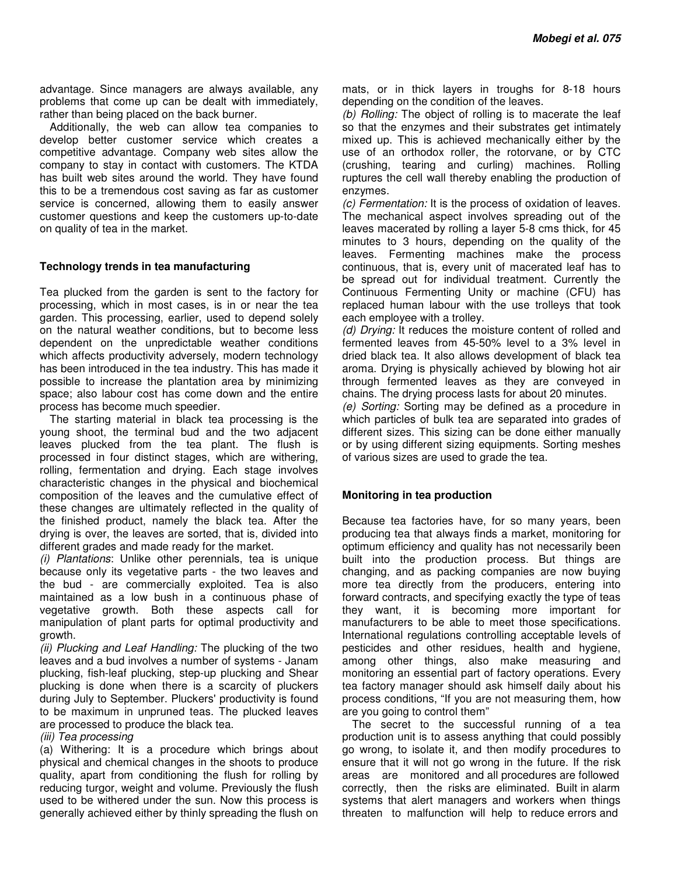advantage. Since managers are always available, any problems that come up can be dealt with immediately, rather than being placed on the back burner.

Additionally, the web can allow tea companies to develop better customer service which creates a competitive advantage. Company web sites allow the company to stay in contact with customers. The KTDA has built web sites around the world. They have found this to be a tremendous cost saving as far as customer service is concerned, allowing them to easily answer customer questions and keep the customers up-to-date on quality of tea in the market.

## **Technology trends in tea manufacturing**

Tea plucked from the garden is sent to the factory for processing, which in most cases, is in or near the tea garden. This processing, earlier, used to depend solely on the natural weather conditions, but to become less dependent on the unpredictable weather conditions which affects productivity adversely, modern technology has been introduced in the tea industry. This has made it possible to increase the plantation area by minimizing space; also labour cost has come down and the entire process has become much speedier.

The starting material in black tea processing is the young shoot, the terminal bud and the two adjacent leaves plucked from the tea plant. The flush is processed in four distinct stages, which are withering, rolling, fermentation and drying. Each stage involves characteristic changes in the physical and biochemical composition of the leaves and the cumulative effect of these changes are ultimately reflected in the quality of the finished product, namely the black tea. After the drying is over, the leaves are sorted, that is, divided into different grades and made ready for the market.

(i) Plantations: Unlike other perennials, tea is unique because only its vegetative parts - the two leaves and the bud - are commercially exploited. Tea is also maintained as a low bush in a continuous phase of vegetative growth. Both these aspects call for manipulation of plant parts for optimal productivity and growth.

(ii) Plucking and Leaf Handling: The plucking of the two leaves and a bud involves a number of systems - Janam plucking, fish-leaf plucking, step-up plucking and Shear plucking is done when there is a scarcity of pluckers during July to September. Pluckers' productivity is found to be maximum in unpruned teas. The plucked leaves are processed to produce the black tea.

(iii) Tea processing

(a) Withering: It is a procedure which brings about physical and chemical changes in the shoots to produce quality, apart from conditioning the flush for rolling by reducing turgor, weight and volume. Previously the flush used to be withered under the sun. Now this process is generally achieved either by thinly spreading the flush on mats, or in thick layers in troughs for 8-18 hours depending on the condition of the leaves.

(b) Rolling: The object of rolling is to macerate the leaf so that the enzymes and their substrates get intimately mixed up. This is achieved mechanically either by the use of an orthodox roller, the rotorvane, or by CTC (crushing, tearing and curling) machines. Rolling ruptures the cell wall thereby enabling the production of enzymes.

(c) Fermentation: It is the process of oxidation of leaves. The mechanical aspect involves spreading out of the leaves macerated by rolling a layer 5-8 cms thick, for 45 minutes to 3 hours, depending on the quality of the leaves. Fermenting machines make the process continuous, that is, every unit of macerated leaf has to be spread out for individual treatment. Currently the Continuous Fermenting Unity or machine (CFU) has replaced human labour with the use trolleys that took each employee with a trolley.

(d) Drying: It reduces the moisture content of rolled and fermented leaves from 45-50% level to a 3% level in dried black tea. It also allows development of black tea aroma. Drying is physically achieved by blowing hot air through fermented leaves as they are conveyed in chains. The drying process lasts for about 20 minutes.

(e) Sorting: Sorting may be defined as a procedure in which particles of bulk tea are separated into grades of different sizes. This sizing can be done either manually or by using different sizing equipments. Sorting meshes of various sizes are used to grade the tea.

## **Monitoring in tea production**

Because tea factories have, for so many years, been producing tea that always finds a market, monitoring for optimum efficiency and quality has not necessarily been built into the production process. But things are changing, and as packing companies are now buying more tea directly from the producers, entering into forward contracts, and specifying exactly the type of teas they want, it is becoming more important for manufacturers to be able to meet those specifications. International regulations controlling acceptable levels of pesticides and other residues, health and hygiene, among other things, also make measuring and monitoring an essential part of factory operations. Every tea factory manager should ask himself daily about his process conditions, "If you are not measuring them, how are you going to control them"

The secret to the successful running of a tea production unit is to assess anything that could possibly go wrong, to isolate it, and then modify procedures to ensure that it will not go wrong in the future. If the risk areas are monitored and all procedures are followed correctly, then the risks are eliminated. Built in alarm systems that alert managers and workers when things threaten to malfunction will help to reduce errors and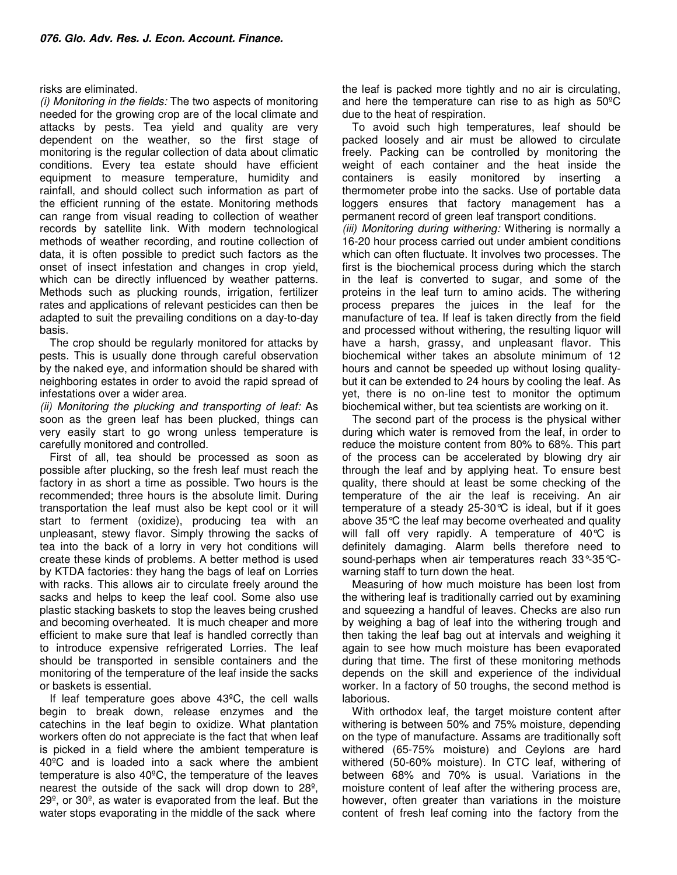## risks are eliminated.

(i) Monitoring in the fields: The two aspects of monitoring needed for the growing crop are of the local climate and attacks by pests. Tea yield and quality are very dependent on the weather, so the first stage of monitoring is the regular collection of data about climatic conditions. Every tea estate should have efficient equipment to measure temperature, humidity and rainfall, and should collect such information as part of the efficient running of the estate. Monitoring methods can range from visual reading to collection of weather records by satellite link. With modern technological methods of weather recording, and routine collection of data, it is often possible to predict such factors as the onset of insect infestation and changes in crop yield, which can be directly influenced by weather patterns. Methods such as plucking rounds, irrigation, fertilizer rates and applications of relevant pesticides can then be adapted to suit the prevailing conditions on a day-to-day basis.

The crop should be regularly monitored for attacks by pests. This is usually done through careful observation by the naked eye, and information should be shared with neighboring estates in order to avoid the rapid spread of infestations over a wider area.

(ii) Monitoring the plucking and transporting of leaf: As soon as the green leaf has been plucked, things can very easily start to go wrong unless temperature is carefully monitored and controlled.

First of all, tea should be processed as soon as possible after plucking, so the fresh leaf must reach the factory in as short a time as possible. Two hours is the recommended; three hours is the absolute limit. During transportation the leaf must also be kept cool or it will start to ferment (oxidize), producing tea with an unpleasant, stewy flavor. Simply throwing the sacks of tea into the back of a lorry in very hot conditions will create these kinds of problems. A better method is used by KTDA factories: they hang the bags of leaf on Lorries with racks. This allows air to circulate freely around the sacks and helps to keep the leaf cool. Some also use plastic stacking baskets to stop the leaves being crushed and becoming overheated. It is much cheaper and more efficient to make sure that leaf is handled correctly than to introduce expensive refrigerated Lorries. The leaf should be transported in sensible containers and the monitoring of the temperature of the leaf inside the sacks or baskets is essential.

If leaf temperature goes above 43ºC, the cell walls begin to break down, release enzymes and the catechins in the leaf begin to oxidize. What plantation workers often do not appreciate is the fact that when leaf is picked in a field where the ambient temperature is 40ºC and is loaded into a sack where the ambient temperature is also 40ºC, the temperature of the leaves nearest the outside of the sack will drop down to 28º, 29º, or 30º, as water is evaporated from the leaf. But the water stops evaporating in the middle of the sack where

the leaf is packed more tightly and no air is circulating, and here the temperature can rise to as high as 50ºC due to the heat of respiration.

To avoid such high temperatures, leaf should be packed loosely and air must be allowed to circulate freely. Packing can be controlled by monitoring the weight of each container and the heat inside the containers is easily monitored by inserting a thermometer probe into the sacks. Use of portable data loggers ensures that factory management has a permanent record of green leaf transport conditions.

(iii) Monitoring during withering: Withering is normally a 16-20 hour process carried out under ambient conditions which can often fluctuate. It involves two processes. The first is the biochemical process during which the starch in the leaf is converted to sugar, and some of the proteins in the leaf turn to amino acids. The withering process prepares the juices in the leaf for the manufacture of tea. If leaf is taken directly from the field and processed without withering, the resulting liquor will have a harsh, grassy, and unpleasant flavor. This biochemical wither takes an absolute minimum of 12 hours and cannot be speeded up without losing qualitybut it can be extended to 24 hours by cooling the leaf. As yet, there is no on-line test to monitor the optimum biochemical wither, but tea scientists are working on it.

The second part of the process is the physical wither during which water is removed from the leaf, in order to reduce the moisture content from 80% to 68%. This part of the process can be accelerated by blowing dry air through the leaf and by applying heat. To ensure best quality, there should at least be some checking of the temperature of the air the leaf is receiving. An air temperature of a steady 25-30°C is ideal, but if it goes above 35°C the leaf may become overheated and quality will fall off very rapidly. A temperature of 40°C is definitely damaging. Alarm bells therefore need to sound-perhaps when air temperatures reach 33°-35°Cwarning staff to turn down the heat.

Measuring of how much moisture has been lost from the withering leaf is traditionally carried out by examining and squeezing a handful of leaves. Checks are also run by weighing a bag of leaf into the withering trough and then taking the leaf bag out at intervals and weighing it again to see how much moisture has been evaporated during that time. The first of these monitoring methods depends on the skill and experience of the individual worker. In a factory of 50 troughs, the second method is laborious.

With orthodox leaf, the target moisture content after withering is between 50% and 75% moisture, depending on the type of manufacture. Assams are traditionally soft withered (65-75% moisture) and Ceylons are hard withered (50-60% moisture). In CTC leaf, withering of between 68% and 70% is usual. Variations in the moisture content of leaf after the withering process are, however, often greater than variations in the moisture content of fresh leaf coming into the factory from the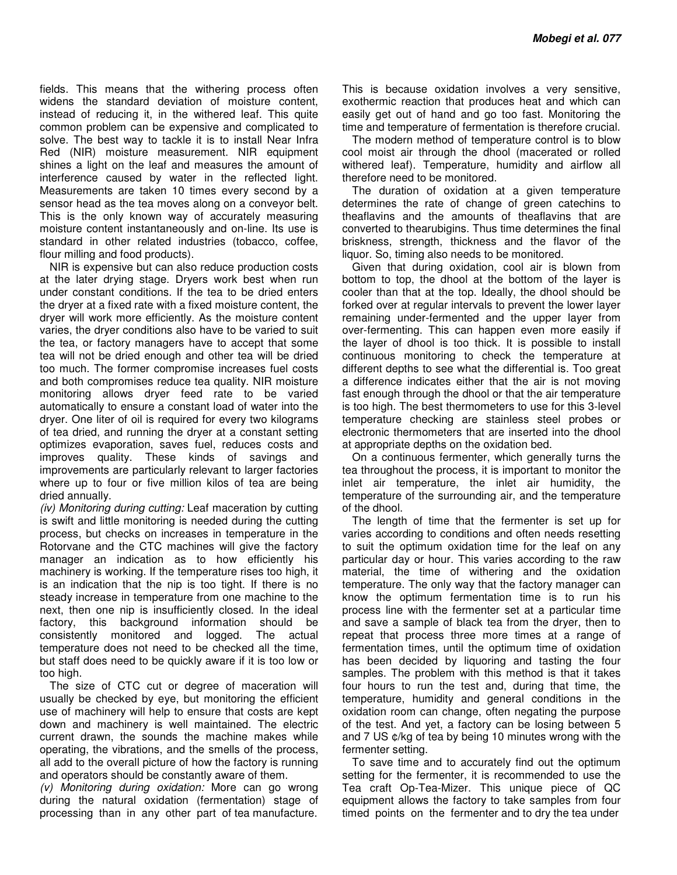fields. This means that the withering process often widens the standard deviation of moisture content, instead of reducing it, in the withered leaf. This quite common problem can be expensive and complicated to solve. The best way to tackle it is to install Near Infra Red (NIR) moisture measurement. NIR equipment shines a light on the leaf and measures the amount of interference caused by water in the reflected light. Measurements are taken 10 times every second by a sensor head as the tea moves along on a conveyor belt. This is the only known way of accurately measuring moisture content instantaneously and on-line. Its use is standard in other related industries (tobacco, coffee, flour milling and food products).

NIR is expensive but can also reduce production costs at the later drying stage. Dryers work best when run under constant conditions. If the tea to be dried enters the dryer at a fixed rate with a fixed moisture content, the dryer will work more efficiently. As the moisture content varies, the dryer conditions also have to be varied to suit the tea, or factory managers have to accept that some tea will not be dried enough and other tea will be dried too much. The former compromise increases fuel costs and both compromises reduce tea quality. NIR moisture monitoring allows dryer feed rate to be varied automatically to ensure a constant load of water into the dryer. One liter of oil is required for every two kilograms of tea dried, and running the dryer at a constant setting optimizes evaporation, saves fuel, reduces costs and improves quality. These kinds of savings and improvements are particularly relevant to larger factories where up to four or five million kilos of tea are being dried annually.

(iv) Monitoring during cutting: Leaf maceration by cutting is swift and little monitoring is needed during the cutting process, but checks on increases in temperature in the Rotorvane and the CTC machines will give the factory manager an indication as to how efficiently his machinery is working. If the temperature rises too high, it is an indication that the nip is too tight. If there is no steady increase in temperature from one machine to the next, then one nip is insufficiently closed. In the ideal factory, this background information should be consistently monitored and logged. The actual temperature does not need to be checked all the time, but staff does need to be quickly aware if it is too low or too high.

The size of CTC cut or degree of maceration will usually be checked by eye, but monitoring the efficient use of machinery will help to ensure that costs are kept down and machinery is well maintained. The electric current drawn, the sounds the machine makes while operating, the vibrations, and the smells of the process, all add to the overall picture of how the factory is running and operators should be constantly aware of them.

(v) Monitoring during oxidation: More can go wrong during the natural oxidation (fermentation) stage of processing than in any other part of tea manufacture.

This is because oxidation involves a very sensitive, exothermic reaction that produces heat and which can easily get out of hand and go too fast. Monitoring the time and temperature of fermentation is therefore crucial.

The modern method of temperature control is to blow cool moist air through the dhool (macerated or rolled withered leaf). Temperature, humidity and airflow all therefore need to be monitored.

The duration of oxidation at a given temperature determines the rate of change of green catechins to theaflavins and the amounts of theaflavins that are converted to thearubigins. Thus time determines the final briskness, strength, thickness and the flavor of the liquor. So, timing also needs to be monitored.

Given that during oxidation, cool air is blown from bottom to top, the dhool at the bottom of the layer is cooler than that at the top. Ideally, the dhool should be forked over at regular intervals to prevent the lower layer remaining under-fermented and the upper layer from over-fermenting. This can happen even more easily if the layer of dhool is too thick. It is possible to install continuous monitoring to check the temperature at different depths to see what the differential is. Too great a difference indicates either that the air is not moving fast enough through the dhool or that the air temperature is too high. The best thermometers to use for this 3-level temperature checking are stainless steel probes or electronic thermometers that are inserted into the dhool at appropriate depths on the oxidation bed.

On a continuous fermenter, which generally turns the tea throughout the process, it is important to monitor the inlet air temperature, the inlet air humidity, the temperature of the surrounding air, and the temperature of the dhool.

The length of time that the fermenter is set up for varies according to conditions and often needs resetting to suit the optimum oxidation time for the leaf on any particular day or hour. This varies according to the raw material, the time of withering and the oxidation temperature. The only way that the factory manager can know the optimum fermentation time is to run his process line with the fermenter set at a particular time and save a sample of black tea from the dryer, then to repeat that process three more times at a range of fermentation times, until the optimum time of oxidation has been decided by liquoring and tasting the four samples. The problem with this method is that it takes four hours to run the test and, during that time, the temperature, humidity and general conditions in the oxidation room can change, often negating the purpose of the test. And yet, a factory can be losing between 5 and 7 US ¢/kg of tea by being 10 minutes wrong with the fermenter setting.

To save time and to accurately find out the optimum setting for the fermenter, it is recommended to use the Tea craft Op-Tea-Mizer. This unique piece of QC equipment allows the factory to take samples from four timed points on the fermenter and to dry the tea under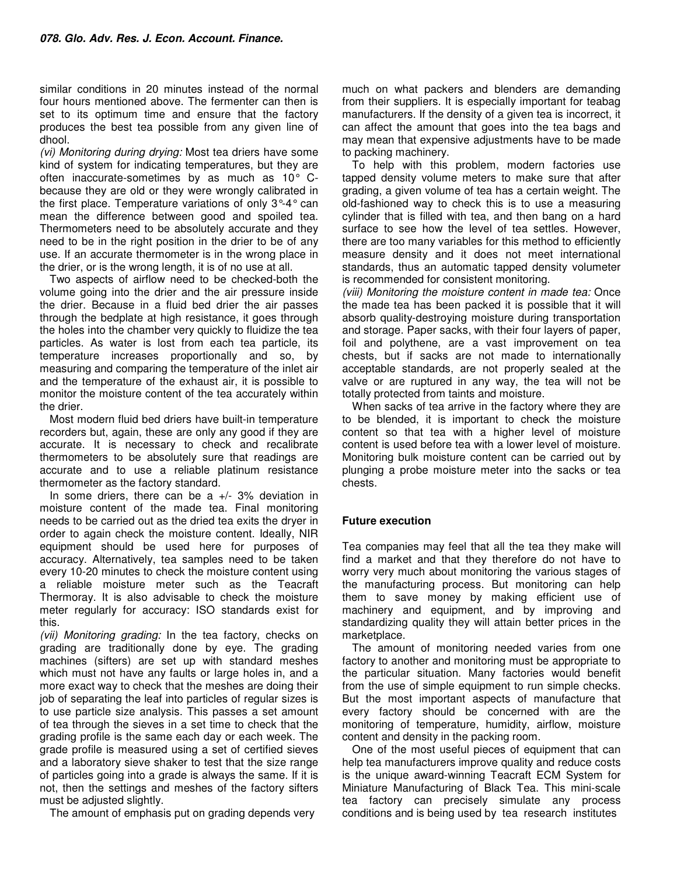similar conditions in 20 minutes instead of the normal four hours mentioned above. The fermenter can then is set to its optimum time and ensure that the factory produces the best tea possible from any given line of dhool.

(vi) Monitoring during drying: Most tea driers have some kind of system for indicating temperatures, but they are often inaccurate-sometimes by as much as 10° Cbecause they are old or they were wrongly calibrated in the first place. Temperature variations of only 3°-4° can mean the difference between good and spoiled tea. Thermometers need to be absolutely accurate and they need to be in the right position in the drier to be of any use. If an accurate thermometer is in the wrong place in the drier, or is the wrong length, it is of no use at all.

Two aspects of airflow need to be checked-both the volume going into the drier and the air pressure inside the drier. Because in a fluid bed drier the air passes through the bedplate at high resistance, it goes through the holes into the chamber very quickly to fluidize the tea particles. As water is lost from each tea particle, its temperature increases proportionally and so, by measuring and comparing the temperature of the inlet air and the temperature of the exhaust air, it is possible to monitor the moisture content of the tea accurately within the drier.

Most modern fluid bed driers have built-in temperature recorders but, again, these are only any good if they are accurate. It is necessary to check and recalibrate thermometers to be absolutely sure that readings are accurate and to use a reliable platinum resistance thermometer as the factory standard.

In some driers, there can be a  $+/-$  3% deviation in moisture content of the made tea. Final monitoring needs to be carried out as the dried tea exits the dryer in order to again check the moisture content. Ideally, NIR equipment should be used here for purposes of accuracy. Alternatively, tea samples need to be taken every 10-20 minutes to check the moisture content using a reliable moisture meter such as the Teacraft Thermoray. It is also advisable to check the moisture meter regularly for accuracy: ISO standards exist for this.

(vii) Monitoring grading: In the tea factory, checks on grading are traditionally done by eye. The grading machines (sifters) are set up with standard meshes which must not have any faults or large holes in, and a more exact way to check that the meshes are doing their job of separating the leaf into particles of regular sizes is to use particle size analysis. This passes a set amount of tea through the sieves in a set time to check that the grading profile is the same each day or each week. The grade profile is measured using a set of certified sieves and a laboratory sieve shaker to test that the size range of particles going into a grade is always the same. If it is not, then the settings and meshes of the factory sifters must be adjusted slightly.

The amount of emphasis put on grading depends very

much on what packers and blenders are demanding from their suppliers. It is especially important for teabag manufacturers. If the density of a given tea is incorrect, it can affect the amount that goes into the tea bags and may mean that expensive adjustments have to be made to packing machinery.

To help with this problem, modern factories use tapped density volume meters to make sure that after grading, a given volume of tea has a certain weight. The old-fashioned way to check this is to use a measuring cylinder that is filled with tea, and then bang on a hard surface to see how the level of tea settles. However, there are too many variables for this method to efficiently measure density and it does not meet international standards, thus an automatic tapped density volumeter is recommended for consistent monitoring.

(viii) Monitoring the moisture content in made tea: Once the made tea has been packed it is possible that it will absorb quality-destroying moisture during transportation and storage. Paper sacks, with their four layers of paper, foil and polythene, are a vast improvement on tea chests, but if sacks are not made to internationally acceptable standards, are not properly sealed at the valve or are ruptured in any way, the tea will not be totally protected from taints and moisture.

When sacks of tea arrive in the factory where they are to be blended, it is important to check the moisture content so that tea with a higher level of moisture content is used before tea with a lower level of moisture. Monitoring bulk moisture content can be carried out by plunging a probe moisture meter into the sacks or tea chests.

## **Future execution**

Tea companies may feel that all the tea they make will find a market and that they therefore do not have to worry very much about monitoring the various stages of the manufacturing process. But monitoring can help them to save money by making efficient use of machinery and equipment, and by improving and standardizing quality they will attain better prices in the marketplace.

The amount of monitoring needed varies from one factory to another and monitoring must be appropriate to the particular situation. Many factories would benefit from the use of simple equipment to run simple checks. But the most important aspects of manufacture that every factory should be concerned with are the monitoring of temperature, humidity, airflow, moisture content and density in the packing room.

One of the most useful pieces of equipment that can help tea manufacturers improve quality and reduce costs is the unique award-winning Teacraft ECM System for Miniature Manufacturing of Black Tea. This mini-scale tea factory can precisely simulate any process conditions and is being used by tea research institutes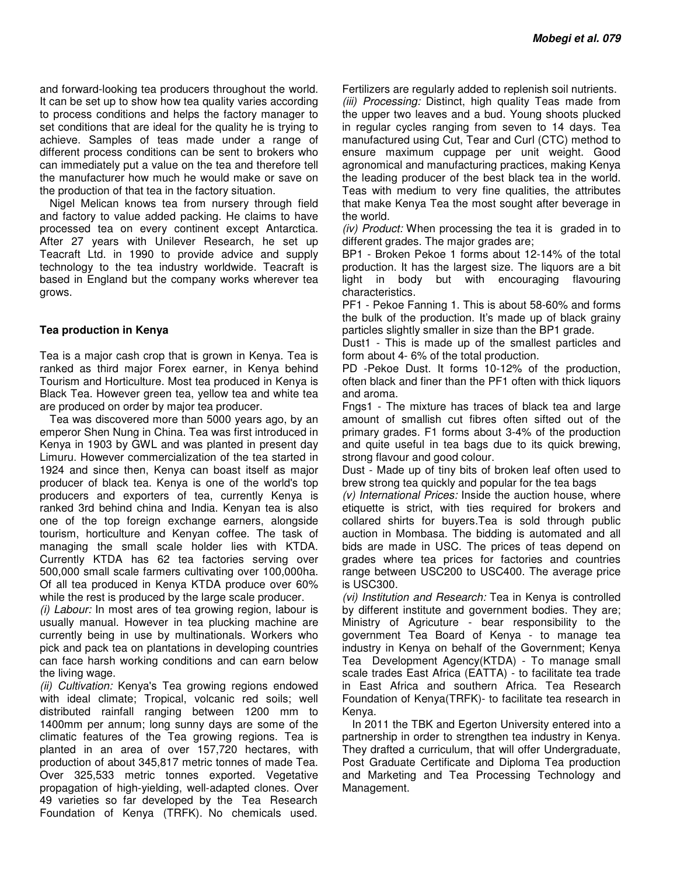and forward-looking tea producers throughout the world. It can be set up to show how tea quality varies according to process conditions and helps the factory manager to set conditions that are ideal for the quality he is trying to achieve. Samples of teas made under a range of different process conditions can be sent to brokers who can immediately put a value on the tea and therefore tell the manufacturer how much he would make or save on the production of that tea in the factory situation.

Nigel Melican knows tea from nursery through field and factory to value added packing. He claims to have processed tea on every continent except Antarctica. After 27 years with Unilever Research, he set up Teacraft Ltd. in 1990 to provide advice and supply technology to the tea industry worldwide. Teacraft is based in England but the company works wherever tea grows.

## **Tea production in Kenya**

Tea is a major cash crop that is grown in Kenya. Tea is ranked as third major Forex earner, in Kenya behind Tourism and Horticulture. Most tea produced in Kenya is Black Tea. However green tea, yellow tea and white tea are produced on order by major tea producer.

Tea was discovered more than 5000 years ago, by an emperor Shen Nung in China. Tea was first introduced in Kenya in 1903 by GWL and was planted in present day Limuru. However commercialization of the tea started in 1924 and since then, Kenya can boast itself as major producer of black tea. Kenya is one of the world's top producers and exporters of tea, currently Kenya is ranked 3rd behind china and India. Kenyan tea is also one of the top foreign exchange earners, alongside tourism, horticulture and Kenyan coffee. The task of managing the small scale holder lies with KTDA. Currently KTDA has 62 tea factories serving over 500,000 small scale farmers cultivating over 100,000ha. Of all tea produced in Kenya KTDA produce over 60% while the rest is produced by the large scale producer.

(i) Labour: In most ares of tea growing region, labour is usually manual. However in tea plucking machine are currently being in use by multinationals. Workers who pick and pack tea on plantations in developing countries can face harsh working conditions and can earn below the living wage.

(ii) Cultivation: Kenya's Tea growing regions endowed with ideal climate; Tropical, volcanic red soils; well distributed rainfall ranging between 1200 mm to 1400mm per annum; long sunny days are some of the climatic features of the Tea growing regions. Tea is planted in an area of over 157,720 hectares, with production of about 345,817 metric tonnes of made Tea. Over 325,533 metric tonnes exported. Vegetative propagation of high-yielding, well-adapted clones. Over 49 varieties so far developed by the Tea Research Foundation of Kenya (TRFK). No chemicals used.

Fertilizers are regularly added to replenish soil nutrients. (iii) Processing: Distinct, high quality Teas made from the upper two leaves and a bud. Young shoots plucked in regular cycles ranging from seven to 14 days. Tea manufactured using Cut, Tear and Curl (CTC) method to ensure maximum cuppage per unit weight. Good agronomical and manufacturing practices, making Kenya the leading producer of the best black tea in the world. Teas with medium to very fine qualities, the attributes that make Kenya Tea the most sought after beverage in the world.

(iv) Product: When processing the tea it is graded in to different grades. The major grades are;

BP1 - Broken Pekoe 1 forms about 12-14% of the total production. It has the largest size. The liquors are a bit light in body but with encouraging flavouring characteristics.

PF1 - Pekoe Fanning 1. This is about 58-60% and forms the bulk of the production. It's made up of black grainy particles slightly smaller in size than the BP1 grade.

Dust1 - This is made up of the smallest particles and form about 4- 6% of the total production.

PD -Pekoe Dust. It forms 10-12% of the production, often black and finer than the PF1 often with thick liquors and aroma.

Fngs1 - The mixture has traces of black tea and large amount of smallish cut fibres often sifted out of the primary grades. F1 forms about 3-4% of the production and quite useful in tea bags due to its quick brewing, strong flavour and good colour.

Dust - Made up of tiny bits of broken leaf often used to brew strong tea quickly and popular for the tea bags

(v) International Prices: Inside the auction house, where etiquette is strict, with ties required for brokers and collared shirts for buyers.Tea is sold through public auction in Mombasa. The bidding is automated and all bids are made in USC. The prices of teas depend on grades where tea prices for factories and countries range between USC200 to USC400. The average price is USC300.

(vi) Institution and Research: Tea in Kenya is controlled by different institute and government bodies. They are; Ministry of Agricuture - bear responsibility to the government Tea Board of Kenya - to manage tea industry in Kenya on behalf of the Government; Kenya Tea Development Agency(KTDA) - To manage small scale trades East Africa (EATTA) - to facilitate tea trade in East Africa and southern Africa. Tea Research Foundation of Kenya(TRFK)- to facilitate tea research in Kenya.

In 2011 the TBK and Egerton University entered into a partnership in order to strengthen tea industry in Kenya. They drafted a curriculum, that will offer Undergraduate, Post Graduate Certificate and Diploma Tea production and Marketing and Tea Processing Technology and Management.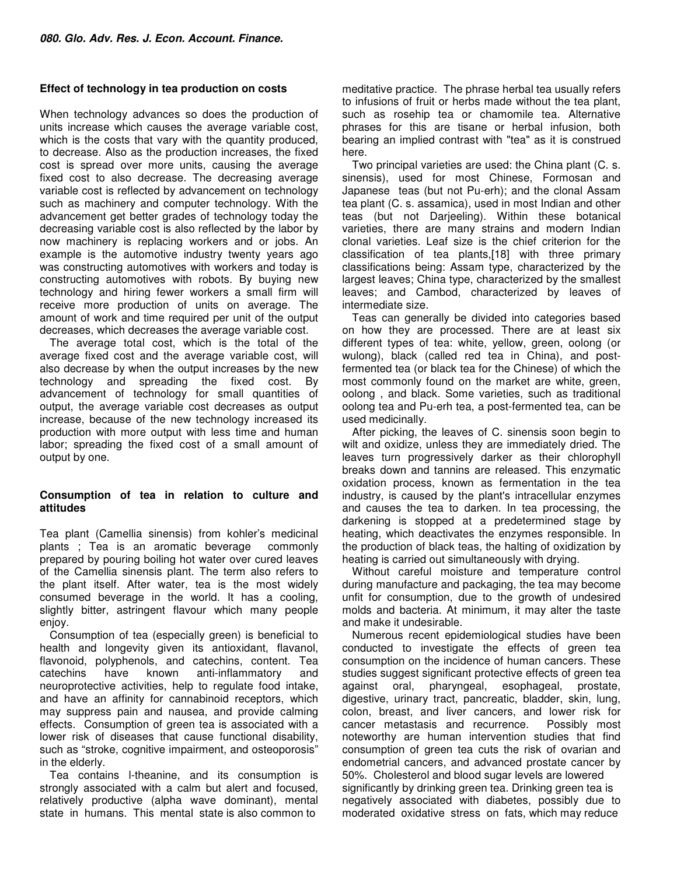## **Effect of technology in tea production on costs**

When technology advances so does the production of units increase which causes the average variable cost, which is the costs that vary with the quantity produced, to decrease. Also as the production increases, the fixed cost is spread over more units, causing the average fixed cost to also decrease. The decreasing average variable cost is reflected by advancement on technology such as machinery and computer technology. With the advancement get better grades of technology today the decreasing variable cost is also reflected by the labor by now machinery is replacing workers and or jobs. An example is the automotive industry twenty years ago was constructing automotives with workers and today is constructing automotives with robots. By buying new technology and hiring fewer workers a small firm will receive more production of units on average. The amount of work and time required per unit of the output decreases, which decreases the average variable cost.

The average total cost, which is the total of the average fixed cost and the average variable cost, will also decrease by when the output increases by the new technology and spreading the fixed cost. By advancement of technology for small quantities of output, the average variable cost decreases as output increase, because of the new technology increased its production with more output with less time and human labor; spreading the fixed cost of a small amount of output by one.

## **Consumption of tea in relation to culture and attitudes**

Tea plant (Camellia sinensis) from kohler's medicinal plants ; Tea is an aromatic beverage commonly prepared by pouring boiling hot water over cured leaves of the Camellia sinensis plant. The term also refers to the plant itself. After water, tea is the most widely consumed beverage in the world. It has a cooling, slightly bitter, astringent flavour which many people enjoy.

Consumption of tea (especially green) is beneficial to health and longevity given its antioxidant, flavanol, flavonoid, polyphenols, and catechins, content. Tea catechins have known anti-inflammatory and neuroprotective activities, help to regulate food intake, and have an affinity for cannabinoid receptors, which may suppress pain and nausea, and provide calming effects. Consumption of green tea is associated with a lower risk of diseases that cause functional disability, such as "stroke, cognitive impairment, and osteoporosis" in the elderly.

Tea contains l-theanine, and its consumption is strongly associated with a calm but alert and focused, relatively productive (alpha wave dominant), mental state in humans. This mental state is also common to

meditative practice. The phrase herbal tea usually refers to infusions of fruit or herbs made without the tea plant, such as rosehip tea or chamomile tea. Alternative phrases for this are tisane or herbal infusion, both bearing an implied contrast with "tea" as it is construed here.

Two principal varieties are used: the China plant (C. s. sinensis), used for most Chinese, Formosan and Japanese teas (but not Pu-erh); and the clonal Assam tea plant (C. s. assamica), used in most Indian and other teas (but not Darjeeling). Within these botanical varieties, there are many strains and modern Indian clonal varieties. Leaf size is the chief criterion for the classification of tea plants,[18] with three primary classifications being: Assam type, characterized by the largest leaves; China type, characterized by the smallest leaves; and Cambod, characterized by leaves of intermediate size.

Teas can generally be divided into categories based on how they are processed. There are at least six different types of tea: white, yellow, green, oolong (or wulong), black (called red tea in China), and postfermented tea (or black tea for the Chinese) of which the most commonly found on the market are white, green, oolong , and black. Some varieties, such as traditional oolong tea and Pu-erh tea, a post-fermented tea, can be used medicinally.

After picking, the leaves of C. sinensis soon begin to wilt and oxidize, unless they are immediately dried. The leaves turn progressively darker as their chlorophyll breaks down and tannins are released. This enzymatic oxidation process, known as fermentation in the tea industry, is caused by the plant's intracellular enzymes and causes the tea to darken. In tea processing, the darkening is stopped at a predetermined stage by heating, which deactivates the enzymes responsible. In the production of black teas, the halting of oxidization by heating is carried out simultaneously with drying.

Without careful moisture and temperature control during manufacture and packaging, the tea may become unfit for consumption, due to the growth of undesired molds and bacteria. At minimum, it may alter the taste and make it undesirable.

Numerous recent epidemiological studies have been conducted to investigate the effects of green tea consumption on the incidence of human cancers. These studies suggest significant protective effects of green tea against oral, pharyngeal, esophageal, prostate, digestive, urinary tract, pancreatic, bladder, skin, lung, colon, breast, and liver cancers, and lower risk for cancer metastasis and recurrence. Possibly most noteworthy are human intervention studies that find consumption of green tea cuts the risk of ovarian and endometrial cancers, and advanced prostate cancer by 50%. Cholesterol and blood sugar levels are lowered significantly by drinking green tea. Drinking green tea is negatively associated with diabetes, possibly due to moderated oxidative stress on fats, which may reduce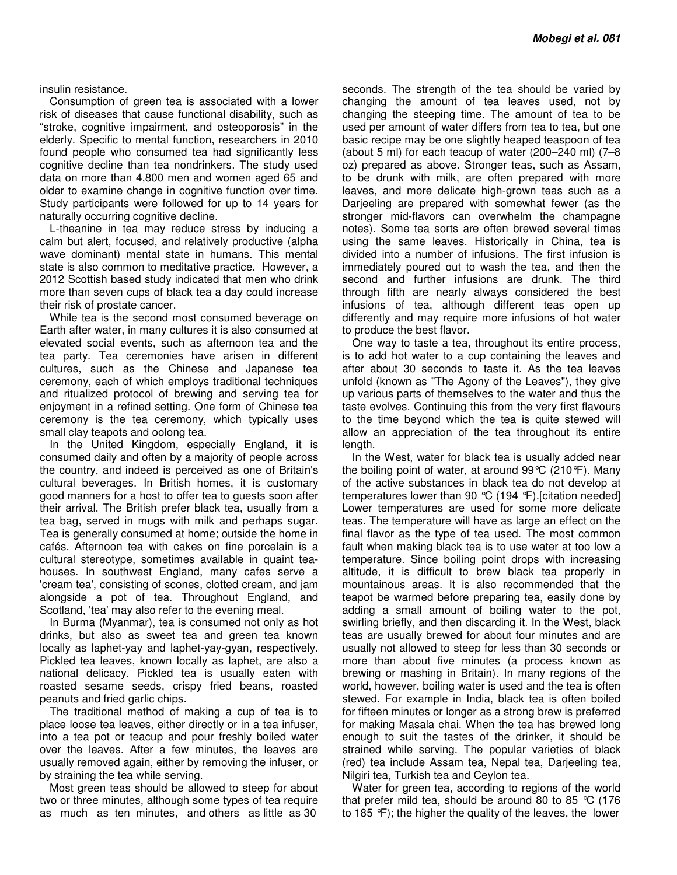#### insulin resistance.

Consumption of green tea is associated with a lower risk of diseases that cause functional disability, such as "stroke, cognitive impairment, and osteoporosis" in the elderly. Specific to mental function, researchers in 2010 found people who consumed tea had significantly less cognitive decline than tea nondrinkers. The study used data on more than 4,800 men and women aged 65 and older to examine change in cognitive function over time. Study participants were followed for up to 14 years for naturally occurring cognitive decline.

L-theanine in tea may reduce stress by inducing a calm but alert, focused, and relatively productive (alpha wave dominant) mental state in humans. This mental state is also common to meditative practice. However, a 2012 Scottish based study indicated that men who drink more than seven cups of black tea a day could increase their risk of prostate cancer.

While tea is the second most consumed beverage on Earth after water, in many cultures it is also consumed at elevated social events, such as afternoon tea and the tea party. Tea ceremonies have arisen in different cultures, such as the Chinese and Japanese tea ceremony, each of which employs traditional techniques and ritualized protocol of brewing and serving tea for enjoyment in a refined setting. One form of Chinese tea ceremony is the tea ceremony, which typically uses small clay teapots and oolong tea.

In the United Kingdom, especially England, it is consumed daily and often by a majority of people across the country, and indeed is perceived as one of Britain's cultural beverages. In British homes, it is customary good manners for a host to offer tea to guests soon after their arrival. The British prefer black tea, usually from a tea bag, served in mugs with milk and perhaps sugar. Tea is generally consumed at home; outside the home in cafés. Afternoon tea with cakes on fine porcelain is a cultural stereotype, sometimes available in quaint teahouses. In southwest England, many cafes serve a 'cream tea', consisting of scones, clotted cream, and jam alongside a pot of tea. Throughout England, and Scotland, 'tea' may also refer to the evening meal.

In Burma (Myanmar), tea is consumed not only as hot drinks, but also as sweet tea and green tea known locally as laphet-yay and laphet-yay-gyan, respectively. Pickled tea leaves, known locally as laphet, are also a national delicacy. Pickled tea is usually eaten with roasted sesame seeds, crispy fried beans, roasted peanuts and fried garlic chips.

The traditional method of making a cup of tea is to place loose tea leaves, either directly or in a tea infuser, into a tea pot or teacup and pour freshly boiled water over the leaves. After a few minutes, the leaves are usually removed again, either by removing the infuser, or by straining the tea while serving.

Most green teas should be allowed to steep for about two or three minutes, although some types of tea require as much as ten minutes, and others as little as 30

seconds. The strength of the tea should be varied by changing the amount of tea leaves used, not by changing the steeping time. The amount of tea to be used per amount of water differs from tea to tea, but one basic recipe may be one slightly heaped teaspoon of tea (about 5 ml) for each teacup of water (200–240 ml) (7–8 oz) prepared as above. Stronger teas, such as Assam, to be drunk with milk, are often prepared with more leaves, and more delicate high-grown teas such as a Darjeeling are prepared with somewhat fewer (as the stronger mid-flavors can overwhelm the champagne notes). Some tea sorts are often brewed several times using the same leaves. Historically in China, tea is divided into a number of infusions. The first infusion is immediately poured out to wash the tea, and then the second and further infusions are drunk. The third through fifth are nearly always considered the best infusions of tea, although different teas open up differently and may require more infusions of hot water to produce the best flavor.

One way to taste a tea, throughout its entire process, is to add hot water to a cup containing the leaves and after about 30 seconds to taste it. As the tea leaves unfold (known as "The Agony of the Leaves"), they give up various parts of themselves to the water and thus the taste evolves. Continuing this from the very first flavours to the time beyond which the tea is quite stewed will allow an appreciation of the tea throughout its entire length.

In the West, water for black tea is usually added near the boiling point of water, at around 99°C (210°F). Many of the active substances in black tea do not develop at temperatures lower than 90 °C (194 °F).[citation needed] Lower temperatures are used for some more delicate teas. The temperature will have as large an effect on the final flavor as the type of tea used. The most common fault when making black tea is to use water at too low a temperature. Since boiling point drops with increasing altitude, it is difficult to brew black tea properly in mountainous areas. It is also recommended that the teapot be warmed before preparing tea, easily done by adding a small amount of boiling water to the pot, swirling briefly, and then discarding it. In the West, black teas are usually brewed for about four minutes and are usually not allowed to steep for less than 30 seconds or more than about five minutes (a process known as brewing or mashing in Britain). In many regions of the world, however, boiling water is used and the tea is often stewed. For example in India, black tea is often boiled for fifteen minutes or longer as a strong brew is preferred for making Masala chai. When the tea has brewed long enough to suit the tastes of the drinker, it should be strained while serving. The popular varieties of black (red) tea include Assam tea, Nepal tea, Darjeeling tea, Nilgiri tea, Turkish tea and Ceylon tea.

Water for green tea, according to regions of the world that prefer mild tea, should be around 80 to 85 °C (176 to 185 °F); the higher the quality of the leaves, the lower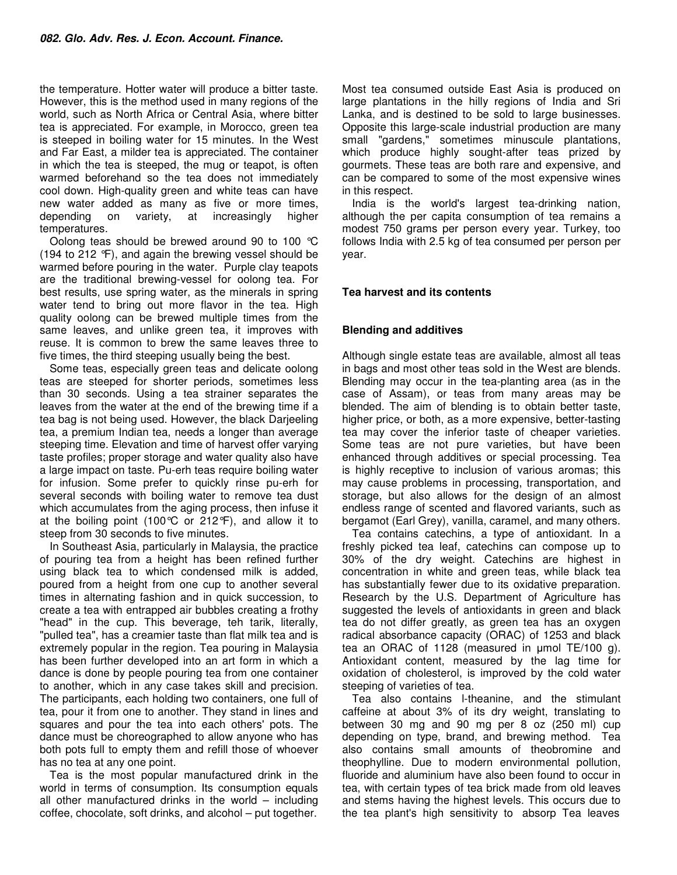the temperature. Hotter water will produce a bitter taste. However, this is the method used in many regions of the world, such as North Africa or Central Asia, where bitter tea is appreciated. For example, in Morocco, green tea is steeped in boiling water for 15 minutes. In the West and Far East, a milder tea is appreciated. The container in which the tea is steeped, the mug or teapot, is often warmed beforehand so the tea does not immediately cool down. High-quality green and white teas can have new water added as many as five or more times, depending on variety, at increasingly higher temperatures.

Oolong teas should be brewed around 90 to 100 °C (194 to 212 °F), and again the brewing vessel should be warmed before pouring in the water. Purple clay teapots are the traditional brewing-vessel for oolong tea. For best results, use spring water, as the minerals in spring water tend to bring out more flavor in the tea. High quality oolong can be brewed multiple times from the same leaves, and unlike green tea, it improves with reuse. It is common to brew the same leaves three to five times, the third steeping usually being the best.

Some teas, especially green teas and delicate oolong teas are steeped for shorter periods, sometimes less than 30 seconds. Using a tea strainer separates the leaves from the water at the end of the brewing time if a tea bag is not being used. However, the black Darjeeling tea, a premium Indian tea, needs a longer than average steeping time. Elevation and time of harvest offer varying taste profiles; proper storage and water quality also have a large impact on taste. Pu-erh teas require boiling water for infusion. Some prefer to quickly rinse pu-erh for several seconds with boiling water to remove tea dust which accumulates from the aging process, then infuse it at the boiling point (100 $\degree$ C or 212 $\degree$ F), and allow it to steep from 30 seconds to five minutes.

In Southeast Asia, particularly in Malaysia, the practice of pouring tea from a height has been refined further using black tea to which condensed milk is added, poured from a height from one cup to another several times in alternating fashion and in quick succession, to create a tea with entrapped air bubbles creating a frothy "head" in the cup. This beverage, teh tarik, literally, "pulled tea", has a creamier taste than flat milk tea and is extremely popular in the region. Tea pouring in Malaysia has been further developed into an art form in which a dance is done by people pouring tea from one container to another, which in any case takes skill and precision. The participants, each holding two containers, one full of tea, pour it from one to another. They stand in lines and squares and pour the tea into each others' pots. The dance must be choreographed to allow anyone who has both pots full to empty them and refill those of whoever has no tea at any one point.

Tea is the most popular manufactured drink in the world in terms of consumption. Its consumption equals all other manufactured drinks in the world  $-$  including coffee, chocolate, soft drinks, and alcohol – put together.

Most tea consumed outside East Asia is produced on large plantations in the hilly regions of India and Sri Lanka, and is destined to be sold to large businesses. Opposite this large-scale industrial production are many small "gardens," sometimes minuscule plantations, which produce highly sought-after teas prized by gourmets. These teas are both rare and expensive, and can be compared to some of the most expensive wines in this respect.

India is the world's largest tea-drinking nation, although the per capita consumption of tea remains a modest 750 grams per person every year. Turkey, too follows India with 2.5 kg of tea consumed per person per year.

## **Tea harvest and its contents**

## **Blending and additives**

Although single estate teas are available, almost all teas in bags and most other teas sold in the West are blends. Blending may occur in the tea-planting area (as in the case of Assam), or teas from many areas may be blended. The aim of blending is to obtain better taste, higher price, or both, as a more expensive, better-tasting tea may cover the inferior taste of cheaper varieties. Some teas are not pure varieties, but have been enhanced through additives or special processing. Tea is highly receptive to inclusion of various aromas; this may cause problems in processing, transportation, and storage, but also allows for the design of an almost endless range of scented and flavored variants, such as bergamot (Earl Grey), vanilla, caramel, and many others.

Tea contains catechins, a type of antioxidant. In a freshly picked tea leaf, catechins can compose up to 30% of the dry weight. Catechins are highest in concentration in white and green teas, while black tea has substantially fewer due to its oxidative preparation. Research by the U.S. Department of Agriculture has suggested the levels of antioxidants in green and black tea do not differ greatly, as green tea has an oxygen radical absorbance capacity (ORAC) of 1253 and black tea an ORAC of 1128 (measured in µmol TE/100 g). Antioxidant content, measured by the lag time for oxidation of cholesterol, is improved by the cold water steeping of varieties of tea.

Tea also contains l-theanine, and the stimulant caffeine at about 3% of its dry weight, translating to between 30 mg and 90 mg per 8 oz (250 ml) cup depending on type, brand, and brewing method. Tea also contains small amounts of theobromine and theophylline. Due to modern environmental pollution, fluoride and aluminium have also been found to occur in tea, with certain types of tea brick made from old leaves and stems having the highest levels. This occurs due to the tea plant's high sensitivity to absorp Tea leaves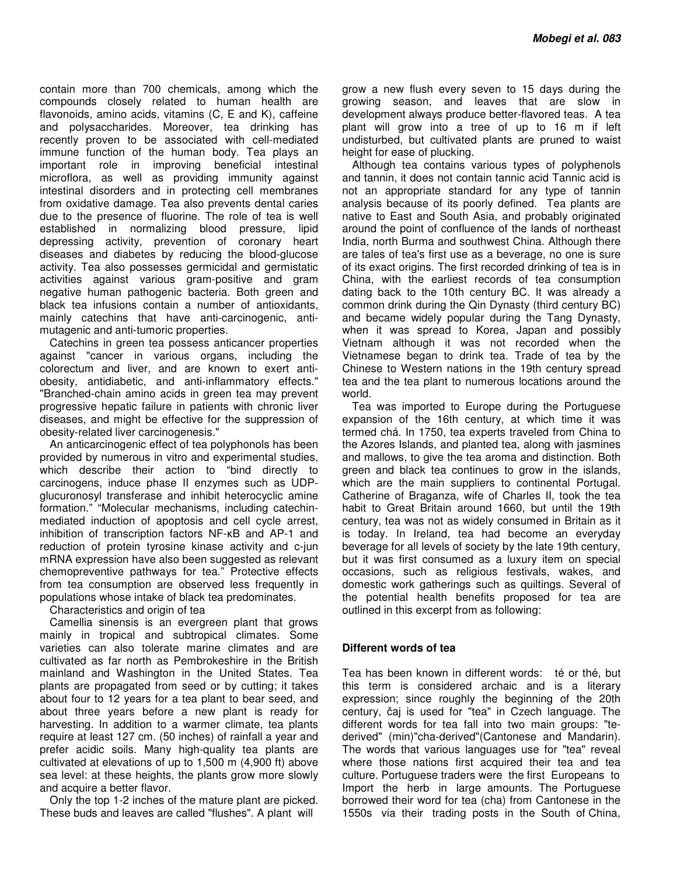contain more than 700 chemicals, among which the compounds closely related to human health are flavonoids, amino acids, vitamins (C, E and K), caffeine and polysaccharides. Moreover, tea drinking has recently proven to be associated with cell-mediated immune function of the human body. Tea plays an important role in improving beneficial intestinal microflora, as well as providing immunity against intestinal disorders and in protecting cell membranes from oxidative damage. Tea also prevents dental caries due to the presence of fluorine. The role of tea is well established in normalizing blood pressure, lipid depressing activity, prevention of coronary heart diseases and diabetes by reducing the blood-glucose activity. Tea also possesses germicidal and germistatic activities against various gram-positive and gram negative human pathogenic bacteria. Both green and black tea infusions contain a number of antioxidants, mainly catechins that have anti-carcinogenic, antimutagenic and anti-tumoric properties.

Catechins in green tea possess anticancer properties against "cancer in various organs, including the colorectum and liver, and are known to exert antiobesity, antidiabetic, and anti-inflammatory effects." "Branched-chain amino acids in green tea may prevent progressive hepatic failure in patients with chronic liver diseases, and might be effective for the suppression of obesity-related liver carcinogenesis."

An anticarcinogenic effect of tea polyphonols has been provided by numerous in vitro and experimental studies, which describe their action to "bind directly to carcinogens, induce phase II enzymes such as UDPglucuronosyl transferase and inhibit heterocyclic amine formation." "Molecular mechanisms, including catechinmediated induction of apoptosis and cell cycle arrest, inhibition of transcription factors NF-κB and AP-1 and reduction of protein tyrosine kinase activity and c-jun mRNA expression have also been suggested as relevant chemopreventive pathways for tea." Protective effects from tea consumption are observed less frequently in populations whose intake of black tea predominates.

Characteristics and origin of tea

Camellia sinensis is an evergreen plant that grows mainly in tropical and subtropical climates. Some varieties can also tolerate marine climates and are cultivated as far north as Pembrokeshire in the British mainland and Washington in the United States. Tea plants are propagated from seed or by cutting; it takes about four to 12 years for a tea plant to bear seed, and about three years before a new plant is ready for harvesting. In addition to a warmer climate, tea plants require at least 127 cm. (50 inches) of rainfall a year and prefer acidic soils. Many high-quality tea plants are cultivated at elevations of up to 1,500 m (4,900 ft) above sea level: at these heights, the plants grow more slowly and acquire a better flavor.

Only the top 1-2 inches of the mature plant are picked. These buds and leaves are called "flushes". A plant will

grow a new flush every seven to 15 days during the growing season, and leaves that are slow in development always produce better-flavored teas. A tea plant will grow into a tree of up to 16 m if left undisturbed, but cultivated plants are pruned to waist height for ease of plucking.

Although tea contains various types of polyphenols and tannin, it does not contain tannic acid Tannic acid is not an appropriate standard for any type of tannin analysis because of its poorly defined. Tea plants are native to East and South Asia, and probably originated around the point of confluence of the lands of northeast India, north Burma and southwest China. Although there are tales of tea's first use as a beverage, no one is sure of its exact origins. The first recorded drinking of tea is in China, with the earliest records of tea consumption dating back to the 10th century BC. It was already a common drink during the Qin Dynasty (third century BC) and became widely popular during the Tang Dynasty, when it was spread to Korea, Japan and possibly Vietnam although it was not recorded when the Vietnamese began to drink tea. Trade of tea by the Chinese to Western nations in the 19th century spread tea and the tea plant to numerous locations around the world.

Tea was imported to Europe during the Portuguese expansion of the 16th century, at which time it was termed chá. In 1750, tea experts traveled from China to the Azores Islands, and planted tea, along with jasmines and mallows, to give the tea aroma and distinction. Both green and black tea continues to grow in the islands, which are the main suppliers to continental Portugal. Catherine of Braganza, wife of Charles II, took the tea habit to Great Britain around 1660, but until the 19th century, tea was not as widely consumed in Britain as it is today. In Ireland, tea had become an everyday beverage for all levels of society by the late 19th century, but it was first consumed as a luxury item on special occasions, such as religious festivals, wakes, and domestic work gatherings such as quiltings. Several of the potential health benefits proposed for tea are outlined in this excerpt from as following:

## **Different words of tea**

Tea has been known in different words: té or thé, but this term is considered archaic and is a literary expression; since roughly the beginning of the 20th century, čaj is used for "tea" in Czech language. The different words for tea fall into two main groups: "tederived" (min)"cha-derived"(Cantonese and Mandarin). The words that various languages use for "tea" reveal where those nations first acquired their tea and tea culture. Portuguese traders were the first Europeans to Import the herb in large amounts. The Portuguese borrowed their word for tea (cha) from Cantonese in the 1550s via their trading posts in the South of China,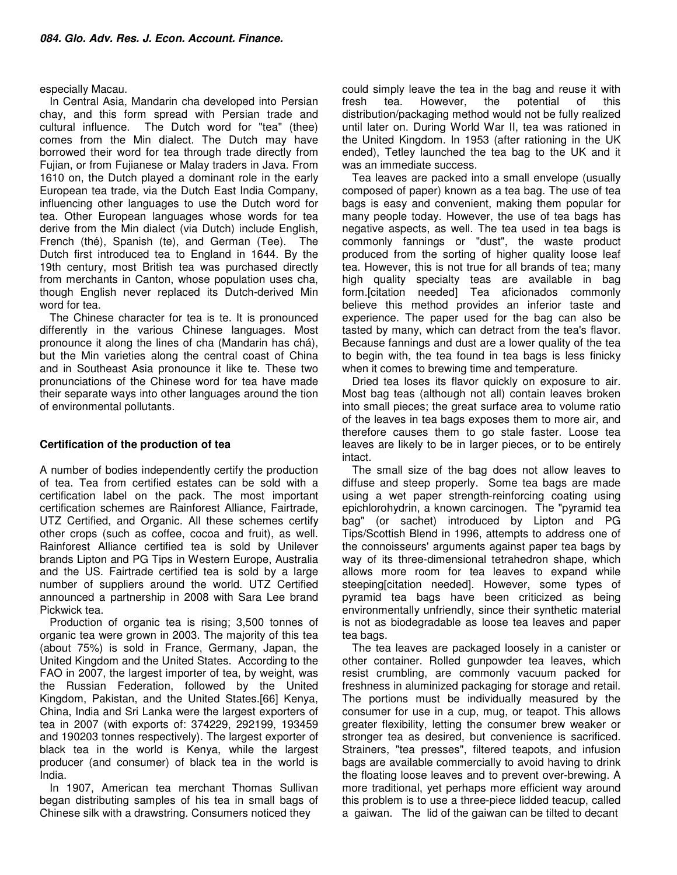## especially Macau.

In Central Asia, Mandarin cha developed into Persian chay, and this form spread with Persian trade and cultural influence. The Dutch word for "tea" (thee) comes from the Min dialect. The Dutch may have borrowed their word for tea through trade directly from Fujian, or from Fujianese or Malay traders in Java. From 1610 on, the Dutch played a dominant role in the early European tea trade, via the Dutch East India Company, influencing other languages to use the Dutch word for tea. Other European languages whose words for tea derive from the Min dialect (via Dutch) include English, French (thé), Spanish (te), and German (Tee). The Dutch first introduced tea to England in 1644. By the 19th century, most British tea was purchased directly from merchants in Canton, whose population uses cha, though English never replaced its Dutch-derived Min word for tea.

The Chinese character for tea is te. It is pronounced differently in the various Chinese languages. Most pronounce it along the lines of cha (Mandarin has chá), but the Min varieties along the central coast of China and in Southeast Asia pronounce it like te. These two pronunciations of the Chinese word for tea have made their separate ways into other languages around the tion of environmental pollutants.

## **Certification of the production of tea**

A number of bodies independently certify the production of tea. Tea from certified estates can be sold with a certification label on the pack. The most important certification schemes are Rainforest Alliance, Fairtrade, UTZ Certified, and Organic. All these schemes certify other crops (such as coffee, cocoa and fruit), as well. Rainforest Alliance certified tea is sold by Unilever brands Lipton and PG Tips in Western Europe, Australia and the US. Fairtrade certified tea is sold by a large number of suppliers around the world. UTZ Certified announced a partnership in 2008 with Sara Lee brand Pickwick tea.

Production of organic tea is rising; 3,500 tonnes of organic tea were grown in 2003. The majority of this tea (about 75%) is sold in France, Germany, Japan, the United Kingdom and the United States. According to the FAO in 2007, the largest importer of tea, by weight, was the Russian Federation, followed by the United Kingdom, Pakistan, and the United States.[66] Kenya, China, India and Sri Lanka were the largest exporters of tea in 2007 (with exports of: 374229, 292199, 193459 and 190203 tonnes respectively). The largest exporter of black tea in the world is Kenya, while the largest producer (and consumer) of black tea in the world is India.

In 1907, American tea merchant Thomas Sullivan began distributing samples of his tea in small bags of Chinese silk with a drawstring. Consumers noticed they

could simply leave the tea in the bag and reuse it with fresh tea. However, the potential of this distribution/packaging method would not be fully realized until later on. During World War II, tea was rationed in the United Kingdom. In 1953 (after rationing in the UK ended), Tetley launched the tea bag to the UK and it was an immediate success.

Tea leaves are packed into a small envelope (usually composed of paper) known as a tea bag. The use of tea bags is easy and convenient, making them popular for many people today. However, the use of tea bags has negative aspects, as well. The tea used in tea bags is commonly fannings or "dust", the waste product produced from the sorting of higher quality loose leaf tea. However, this is not true for all brands of tea; many high quality specialty teas are available in bag form.[citation needed] Tea aficionados commonly believe this method provides an inferior taste and experience. The paper used for the bag can also be tasted by many, which can detract from the tea's flavor. Because fannings and dust are a lower quality of the tea to begin with, the tea found in tea bags is less finicky when it comes to brewing time and temperature.

Dried tea loses its flavor quickly on exposure to air. Most bag teas (although not all) contain leaves broken into small pieces; the great surface area to volume ratio of the leaves in tea bags exposes them to more air, and therefore causes them to go stale faster. Loose tea leaves are likely to be in larger pieces, or to be entirely intact.

The small size of the bag does not allow leaves to diffuse and steep properly. Some tea bags are made using a wet paper strength-reinforcing coating using epichlorohydrin, a known carcinogen. The "pyramid tea bag" (or sachet) introduced by Lipton and PG Tips/Scottish Blend in 1996, attempts to address one of the connoisseurs' arguments against paper tea bags by way of its three-dimensional tetrahedron shape, which allows more room for tea leaves to expand while steeping[citation needed]. However, some types of pyramid tea bags have been criticized as being environmentally unfriendly, since their synthetic material is not as biodegradable as loose tea leaves and paper tea bags.

The tea leaves are packaged loosely in a canister or other container. Rolled gunpowder tea leaves, which resist crumbling, are commonly vacuum packed for freshness in aluminized packaging for storage and retail. The portions must be individually measured by the consumer for use in a cup, mug, or teapot. This allows greater flexibility, letting the consumer brew weaker or stronger tea as desired, but convenience is sacrificed. Strainers, "tea presses", filtered teapots, and infusion bags are available commercially to avoid having to drink the floating loose leaves and to prevent over-brewing. A more traditional, yet perhaps more efficient way around this problem is to use a three-piece lidded teacup, called a gaiwan. The lid of the gaiwan can be tilted to decant